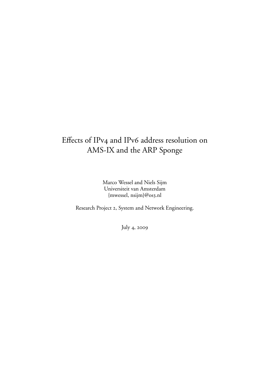## Effects of IPv4 and IPv6 address resolution on AMS-IX and the ARP Sponge

Marco Wessel and Niels Sijm Universiteit van Amsterdam {mwessel, nsijm}@os3.nl

Research Project 2, System and Network Engineering.

July 4, 2009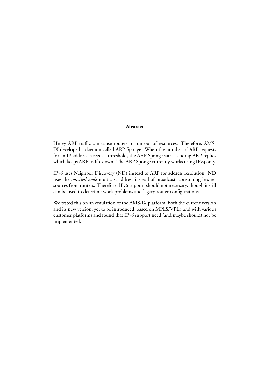### **Abstract**

Heavy ARP traffic can cause routers to run out of resources. Therefore, AMS-IX developed a daemon called ARP Sponge. When the number of ARP requests for an IP address exceeds a threshold, the ARP Sponge starts sending ARP replies which keeps ARP traffic down. The ARP Sponge currently works using IPv4 only.

IPv6 uses Neighbor Discovery (ND) instead of ARP for address resolution. ND uses the *solicited-node* multicast address instead of broadcast, consuming less resources from routers. Therefore, IPv6 support should not necessary, though it still can be used to detect network problems and legacy router configurations.

We tested this on an emulation of the AMS-IX platform, both the current version and its new version, yet to be introduced, based on MPLS/VPLS and with various customer platforms and found that IPv6 support need (and maybe should) not be implemented.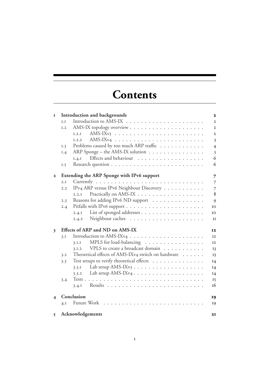# **Contents**

| $\mathbf{I}$ | Introduction and backgrounds    |                                                        |                         |  |  |  |  |  |  |
|--------------|---------------------------------|--------------------------------------------------------|-------------------------|--|--|--|--|--|--|
|              | I.                              |                                                        | $\overline{2}$          |  |  |  |  |  |  |
|              | I.2                             |                                                        | $\overline{2}$          |  |  |  |  |  |  |
|              |                                 | I.2.1                                                  | $\overline{2}$          |  |  |  |  |  |  |
|              |                                 | 1.2.2                                                  | $\overline{\mathbf{3}}$ |  |  |  |  |  |  |
|              | I.3                             | Problems caused by too much ARP traffic                | $\overline{4}$          |  |  |  |  |  |  |
|              | 1.4                             | ARP Sponge – the AMS-IX solution                       | 5                       |  |  |  |  |  |  |
|              |                                 | Effects and behaviour<br>I.4.I                         | 6                       |  |  |  |  |  |  |
|              | I.5                             |                                                        | 6                       |  |  |  |  |  |  |
| $\mathbf{2}$ |                                 | <b>Extending the ARP Sponge with IPv6 support</b><br>7 |                         |  |  |  |  |  |  |
|              | 2.I                             |                                                        | 7                       |  |  |  |  |  |  |
|              | 2.2                             | IPv4 ARP versus IPv6 Neighbour Discovery               | $\overline{7}$          |  |  |  |  |  |  |
|              |                                 | 2.2.1                                                  | 8                       |  |  |  |  |  |  |
|              | 2.3                             | Reasons for adding IPv6 ND support                     | 9                       |  |  |  |  |  |  |
|              | 2.4                             |                                                        | IO                      |  |  |  |  |  |  |
|              |                                 | List of sponged addresses<br>2.4.1                     | IO                      |  |  |  |  |  |  |
|              |                                 | 2.4.2                                                  | II                      |  |  |  |  |  |  |
| 3            | Effects of ARP and ND on AMS-IX |                                                        |                         |  |  |  |  |  |  |
|              | 3.I                             |                                                        | <b>I2</b>               |  |  |  |  |  |  |
|              |                                 | MPLS for load-balancing<br>3.I.I                       | $12\,$                  |  |  |  |  |  |  |
|              |                                 | VPLS to create a broadcast domain<br>3.1.2             | 13                      |  |  |  |  |  |  |
|              | 3.2                             | Theoretical effects of AMS-IXv4 switch on hardware     | 13                      |  |  |  |  |  |  |
|              | 3.3                             | Test setups to verify theoretical effects              | I4                      |  |  |  |  |  |  |
|              |                                 | 3.3.1                                                  | I4                      |  |  |  |  |  |  |
|              |                                 | 3.3.2                                                  | I4                      |  |  |  |  |  |  |
|              | 3.4                             |                                                        | 15                      |  |  |  |  |  |  |
|              |                                 | 3.4.1                                                  | 16                      |  |  |  |  |  |  |
|              | Conclusion                      |                                                        |                         |  |  |  |  |  |  |
|              | 4.1                             | Future Work<br>$\cdot$                                 | 19                      |  |  |  |  |  |  |
| 5            |                                 | Acknowledgements                                       | 21                      |  |  |  |  |  |  |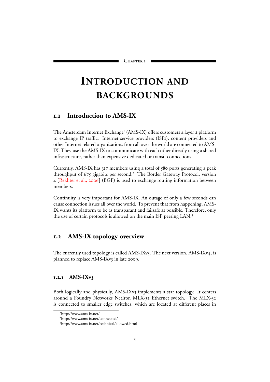# <span id="page-3-0"></span>**INTRODUCTION AND BACKGROUNDS**

## <span id="page-3-1"></span>**. Introduction to AMS-IX**

Th[e](#page-3-4) Amsterdam Internet Exchange<sup>1</sup> (AMS-IX) offers customers a layer 2 platform to exchange IP traffic. Internet service providers (ISPs), content providers and other Internet related organisations from all over the world are connected to AMS-IX. They use the AMS-IX to communicate with each other directly using a shared infrastructure, rather than expensive dedicated or transit connections.

Currently, AMS-IX has 317 members using a total of 580 ports generating a peak throughput of 675 gigabits per second.<sup>2</sup> The Border Gateway Protocol, version 4 [\[Rekhter et al.,](#page-23-0) 2006] (BGP) is used to exchange routing information between members.

Continuity is very important for AMS-IX. An outage of only a few seconds can cause connection issues all over the world. To prevent that from happening, AMS-IX wants its platform to be as transparant and failsafe as possible. Therefore, only the use of certain protocols is allowed on the main ISP peering LAN.

## <span id="page-3-2"></span>**. AMS-IX topology overview**

The currently used topology is called AMS-IXv3. The next version, AMS-IXv4, is planned to replace AMS-IXv3 in late 2009.

#### <span id="page-3-3"></span>**.. AMS-IXv**

Both logically and physically, AMS-IXv3 implements a star topology. It centers around a Foundry Networks NetIron MLX-32 Ethernet switch. The MLX-32 is connected to smaller edge switches, which are located at different places in

<span id="page-3-4"></span>http://www.ams-ix.net/

<span id="page-3-5"></span>http://www.ams-ix.net/connected/

<span id="page-3-6"></span>http://www.ams-ix.net/technical/allowed.html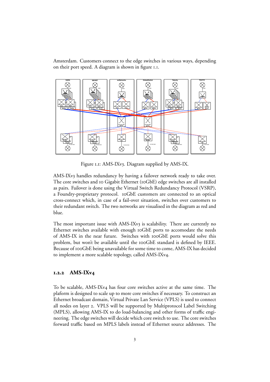Amsterdam. Customers connect to the edge switches in various ways, depending on their port speed. A diagram is shown in figure I.I.



<span id="page-4-1"></span>Figure I.I: AMS-IXv3. Diagram supplied by AMS-IX.

AMS-IXv3 handles redundancy by having a failover network ready to take over. The core switches and 10 Gigabit Ethernet (10GbE) edge switches are all installed as pairs. Failover is done using the Virtual Switch Redundancy Protocol (VSRP), a Foundry-proprietary protocol. 10GbE customers are connected to an optical cross-connect which, in case of a fail-over situation, switches over customers to their redundant switch. The two networks are visualised in the diagram as red and blue.

The most important issue with AMS-IXv<sub>3</sub> is scalability. There are currently no Ethernet switches available with enough  $10$ GbE ports to accomodate the needs of AMS-IX in the near future. Switches with 100GbE ports would solve this problem, but won't be available until the  $100$ GbE standard is defined by IEEE. Because of 100GbE being unavailable for some time to come, AMS-IX has decided to implement a more scalable topology, called AMS-IXv4.

#### <span id="page-4-0"></span>**.. AMS-IXv**

To be scalable, AMS-IXv4 has four core switches active at the same time. The plaform is designed to scale up to more core switches if necessary. To construct an Ethernet broadcast domain, Virtual Private Lan Service (VPLS) is used to connect all nodes on layer 2. VPLS will be supported by Multiprotocol Label Switching (MPLS), allowing AMS-IX to do load-balancing and other forms of traffic engineering. The edge switches will decide which core switch to use. The core switches forward traffic based on MPLS labels instead of Ethernet source addresses. The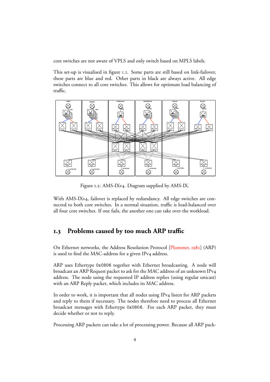core switches are not aware of VPLS and only switch based on MPLS labels.

This set-up is visualised in figure 1.2. Some parts are still based on link-failover, these parts are blue and red. Other parts in black are always active. All edge switches connect to all core switches. This allows for optimum load balancing of traffic.



<span id="page-5-1"></span>Figure 1.2: AMS-IXv4. Diagram supplied by AMS-IX.

With AMS-IXv4, failover is replaced by redundancy. All edge switches are connected to both core switches. In a normal situation, traffic is load-balanced over all four core switches. If one fails, the another one can take over the workload.

## <span id="page-5-0"></span>**. Problems caused by too much ARP traffic**

On Ethernet networks, the Address Resolution Protocol [\[Plummer,](#page-23-1) 1982] (ARP) is used to find the MAC-address for a given IPv4 address.

ARP uses Ethertype 0x0806 together with Ethernet broadcasting. A node will broadcast an ARP Request packet to ask for the MAC address of an unknown IPv address. The node using the requested IP address replies (using regular unicast) with an ARP Reply packet, which includes its MAC address.

In order to work, it is important that all nodes using IPv4 listen for ARP packets and reply to them if necessary. The nodes therefore need to process all Ethernet broadcast messages with Ethertype 0x0806. For each ARP packet, they must decide whether or not to reply.

Processing ARP packets can take a lot of processing power. Because all ARP pack-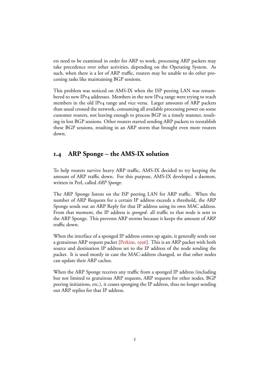ets need to be examined in order for ARP to work, processing ARP packets may take precedence over other activities, depending on the Operating System. As such, when there is a lot of ARP traffic, routers may be unable to do other processing tasks like maintaining BGP sessions.

This problem was noticed on AMS-IX when the ISP peering LAN was renumbered to new IPv4 addresses. Members in the new IPv4 range were trying to reach members in the old IPv4 range and vice versa. Larger amounts of ARP packets than usual crossed the network, consuming all available processing power on some customer routers, not leaving enough to process BGP in a timely manner, resulting in lost BGP sessions. Other routers started sending ARP packets to reestablish these BGP sessions, resulting in an ARP storm that brought even more routers down.

## <span id="page-6-0"></span>**. ARP Sponge – the AMS-IX solution**

To help routers survive heavy ARP traffic, AMS-IX decided to try keeping the amount of ARP traffic down. For this purpose, AMS-IX developed a daemon, written in Perl, called *ARP Sponge*.

The ARP Sponge listens on the ISP peering LAN for ARP traffic. When the number of ARP Requests for a certain IP address exceeds a threshold, the ARP Sponge sends out an ARP Reply for that IP address using its own MAC address. From that moment, the IP address is *sponged*: all traffic to that node is sent to the ARP Sponge. This prevents ARP storms because it keeps the amount of ARP traffic down.

When the interface of a sponged IP address comes up again, it generally sends out a gratuitous ARP request packet  $[Perkins, 1996]$  $[Perkins, 1996]$ . This is an ARP packet with both source and destination IP address set to the IP address of the node sending the packet. It is used mostly in case the MAC-address changed, so that other nodes can update their ARP caches.

When the ARP Sponge receives any traffic from a sponged IP address (including but not limited to gratuitous ARP requests, ARP requests for other nodes, BGP peering initiations, etc.), it ceases sponging the IP address, thus no longer sending out ARP replies for that IP address.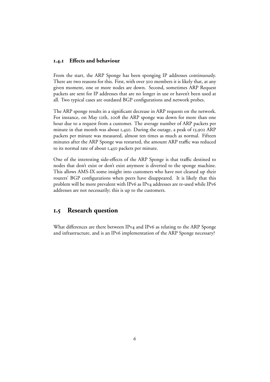#### <span id="page-7-0"></span>**.. Effects and behaviour**

From the start, the ARP Sponge has been sponging IP addresses continuously. There are two reasons for this. First, with over 300 members it is likely that, at any given moment, one or more nodes are down. Second, sometimes ARP Request packets are sent for IP addresses that are no longer in use or haven't been used at all. Two typical cases are outdated BGP configurations and network probes.

The ARP sponge results in a significant decrease in ARP requests on the network. For instance, on May 12th, 2008 the ARP sponge was down for more than one hour due to a request from a customer. The average number of ARP packets per minute in that month was about  $I,450$ . During the outage, a peak of  $I3,902$  ARP packets per minute was measured, almost ten times as much as normal. Fifteen minutes after the ARP Sponge was restarted, the amount ARP traffic was reduced to its normal rate of about  $I,450$  packets per minute.

One of the interesting side-effects of the ARP Sponge is that traffic destined to nodes that don't exist or don't exist anymore is diverted to the sponge machine. This allows AMS-IX some insight into customers who have not cleaned up their routers' BGP configurations when peers have disappeared. It is likely that this problem will be more prevalent with IPv6 as IPv4 addresses are re-used while IPv6 addresses are not necessarily; this is up to the customers.

### <span id="page-7-1"></span>**. Research question**

What differences are there between IPv4 and IPv6 as relating to the ARP Sponge and infrastructure, and is an IPv6 implementation of the ARP Sponge necessary?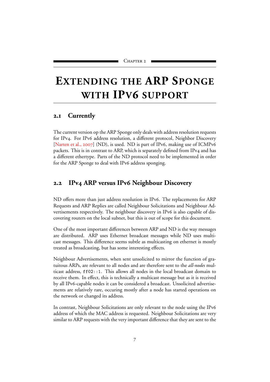# <span id="page-8-0"></span>**EXTENDING THE ARP SPONGE WITH IPV6 SUPPORT**

### <span id="page-8-1"></span>**. Currently**

The current version op the ARP Sponge only deals with address resolution requests for IPv4. For IPv6 address resolution, a different protocol, Neighbor Discovery [\[Narten et al.,](#page-23-3) 2007] (ND), is used. ND is part of IPv6, making use of ICMPv6 packets. This is in contrast to ARP, which is separately defined from IPv4 and has a different ethertype. Parts of the ND protocol need to be implemented in order for the ARP Sponge to deal with IPv6 address sponging.

### <span id="page-8-2"></span>**2.2** IPv4 ARP versus IPv6 Neighbour Discovery

ND offers more than just address resolution in IPv6. The replacements for ARP Requests and ARP Replies are called Neighbour Solicitations and Neighbour Advertisements respectively. The neighbour discovery in IPv6 is also capable of discovering routers on the local subnet, but this is out of scope for this document.

One of the most important differences between ARP and ND is the way messages are distributed. ARP uses Ethernet broadcast messages while ND uses multicast messages. This difference seems subtle as multicasting on ethernet is mostly treated as broadcasting, but has some interesting effects.

Neighbour Advertisements, when sent unsolicited to mirror the function of gratuitous ARPs, are relevant to all nodes and are therefore sent to the *all-nodes* multicast address, ff02::1. This allows all nodes in the local broadcast domain to receive them. In effect, this is technically a multicast message but as it is received by all IPv6-capable nodes it can be considered a broadcast. Unsolicited advertisements are relatively rare, occuring mostly after a node has started operations on the network or changed its address.

In contrast, Neighbour Solicitations are only relevant to the node using the IPv6 address of which the MAC address is requested. Neighbour Solicitations are very similar to ARP requests with the very important difference that they are sent to the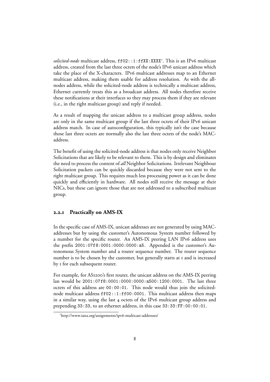solicited-node multicast address, ff02::1:ffXX:XXX<sup>1</sup>. This is an IPv6 multicast address, created from the last three octets of the node's IPv6 unicast address which take the place of the X-characters. IPv6 multicast addresses map to an Ethernet multicast address, making them usable for address resolution. As with the allnodes address, while the solicited-node address is technically a multicast address, Ethernet currently treats this as a broadcast address. All nodes therefore receive these notifications at their interfaces so they may process them if they are relevant (i.e., in the right multicast group) and reply if needed.

As a result of mapping the unicast address to a multicast group address, nodes are only in the same multicast group if the last three octets of their IPv6 unicast address match. In case of autoconfiguration, this typically isn't the case because those last three octets are normally also the last three octets of the node's MACaddress.

The benefit of using the solicited-node address is that nodes only receive Neighbor Solicitations that are likely to be relevant to them. This is by design and eliminates the need to process the content of *all* Neighbor Solicitations. Irrelevant Neighbour Solicitation packets can be quickly discarded because they were not sent to the right multicast group. This requires much less processing power as it can be done quickly and efficiently in hardware. All nodes still receive the message at their NICs, but these can ignore those that are not addressed to a subscribed multicast group.

#### <span id="page-9-0"></span>**.. Practically on AMS-IX**

In the specific case of AMS-IX, unicast addresses are not generated by using MACaddresses but by using the customer's Autonomous System number followed by a number for the specific router. An AMS-IX peering LAN IPv6 address uses the prefix 2001:07f8:0001:0000:0000:a5. Appended is the customer's Autonomous System number and a router sequence number. The router sequence number is to be chosen by the customer, but generally starts at I and is increased by I for each subsequent router.

For example, for AS1200's first router, the unicast address on the AMS-IX peering lan would be 2001:07f8:0001:0000:0000:a500:1200:0001. The last three octets of this address are 00:00:01. This node would thus join the solicitednode multicast address ff02::1:ff00:0001. This multicast address then maps in a similar way, using the last  $4$  octets of the IPv6 multicast group address and prepending 33:33, to an ethernet address, in this case 33:33:FF:00:00:01.

<span id="page-9-1"></span><sup>&</sup>lt;sup>1</sup>http://www.iana.org/assignments/ipv6-multicast-addresses/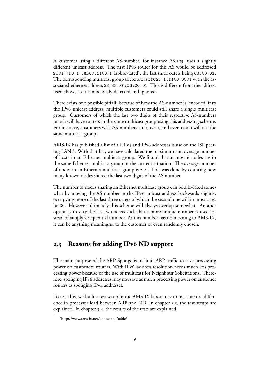A customer using a different AS-number, for instance AS1103, uses a slightly different unicast address. The first IPv6 router for this AS would be addressed 2001:7f8:1::a500:1103:1 (abbreviated), the last three octets being 03:00:01. The corresponding multicast group therefore is  $f102::1:f103:0001$  with the associated ethernet address 33:33:FF:03:00:01. This is different from the address used above, so it can be easily detected and ignored.

There exists one possible pitfall: because of how the AS-number is 'encoded' into the IPv6 unicast address, multiple customers could still share a single multicast group. Customers of which the last two digits of their respective AS-numbers match will have routers in the same multicast group using this addressing scheme. For instance, customers with AS-numbers 1100, 1200, and even 12300 will use the same multicast group.

AMS-IX has published a list of all IPv4 and IPv6 addresses is use on the ISP peering LAN. . With that list, we have calculated the maximum and average number of hosts in an Ethernet multicast group. We found that at most 6 nodes are in the same Ethernet multicast group in the current situation. The average number of nodes in an Ethernet multicast group is 2.21. This was done by counting how many known nodes shared the last two digits of the AS number.

The number of nodes sharing an Ethernet multicast group can be alleviated somewhat by moving the AS-number in the IPv6 unicast address backwards slightly, occupying more of the last three octets of which the second one will in most cases be 00. However ultimately this scheme will always overlap somewhat. Another option is to vary the last two octets such that a more unique number is used instead of simply a sequential number. As this number has no meaning to AMS-IX, it can be anything meaningful to the customer or even randomly chosen.

## <span id="page-10-0"></span>**2.3** Reasons for adding IPv6 ND support

The main purpose of the ARP Sponge is to limit ARP traffic to save processing power on customers' routers. With IPv6, address resolution needs much less processing power because of the use of multicast for Neighbour Solicitations. Therefore, sponging IPv6 addresses may not save as much processing power on customer routers as sponging IPv4 addresses.

To test this, we built a test setup in the AMS-IX laboratory to measure the difference in processor load between ARP and ND. In chapter 3.3, the test setups are explained. In chapter 3.4, the results of the tests are explained.

<span id="page-10-1"></span>http://www.ams-ix.net/connected/table/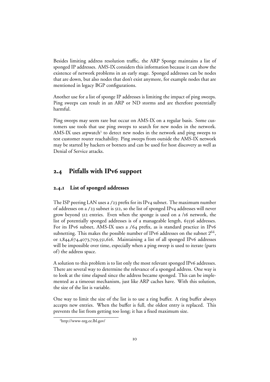Besides limiting address resolution traffic, the ARP Sponge maintains a list of sponged IP addresses. AMS-IX considers this information because it can show the existence of network problems in an early stage. Sponged addresses can be nodes that are down, but also nodes that don't exist anymore, for example nodes that are mentioned in legacy BGP configurations.

Another use for a list of sponge IP addresses is limiting the impact of ping sweeps. Ping sweeps can result in an ARP or ND storms and are therefore potentially harmful.

Ping sweeps may seem rare but occur on AMS-IX on a regular basis. Some customers use tools that use ping sweeps to search for new nodes in the network. AMS-IX uses arpwatch<sup>3</sup> to detect new nodes in the network and ping sweeps to test customer router reachability. Ping sweeps from outside the AMS-IX network may be started by hackers or botnets and can be used for host discovery as well as Denial of Service attacks.

## <span id="page-11-0"></span>**2.4** Pitfalls with IPv6 support

#### <span id="page-11-1"></span>**.. List of sponged addresses**

The ISP peering LAN uses a  $/23$  prefix for its IPv4 subnet. The maximum number of addresses on a /23 subnet is 512, so the list of sponged IPv4 addresses will never grow beyond  $512$  entries. Even when the sponge is used on a /16 network, the list of potentially sponged addresses is of a manageable length, 65536 addresses. For its IPv6 subnet, AMS-IX uses a /64 prefix, as is standard practice in IPv6 subnetting. This makes the possible number of IPv6 addresses on the subnet  $2^{64}$ , or  $1,844,674,4073,709,551,616$ . Maintaining a list of all sponged IPv6 addresses will be impossible over time, especially when a ping sweep is used to iterate (parts of) the address space.

A solution to this problem is to list only the most relevant sponged IPv6 addresses. There are several way to determine the relevance of a sponged address. One way is to look at the time elapsed since the address became sponged. This can be implemented as a timeout mechanism, just like ARP caches have. With this solution, the size of the list is variable.

One way to limit the size of the list is to use a ring buffer. A ring buffer always accepts new entries. When the buffer is full, the oldest entry is replaced. This prevents the list from getting too long; it has a fixed maximum size.

<span id="page-11-2"></span>http://www-nrg.ee.lbl.gov/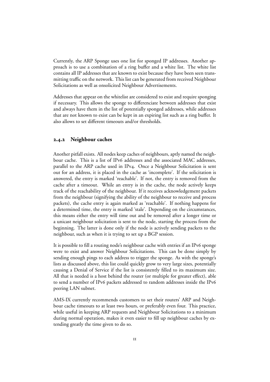Currently, the ARP Sponge uses one list for sponged IP addresses. Another approach is to use a combination of a ring buffer and a white list. The white list contains all IP addresses that are known to exist because they have been seen transmitting traffic on the network. This list can be generated from received Neighbour Solicitations as well as onsolicited Neighbour Advertisements.

Addresses that appear on the whitelist are considered to exist and require sponging if necessary. This allows the sponge to differenciate between addresses that exist and always have them in the list of potentially sponged addresses, while addresses that are not known to exist can be kept in an expiring list such as a ring buffer. It also allows to set different timeouts and/or thresholds.

#### <span id="page-12-0"></span>**.. Neighbour caches**

Another pitfall exists. All nodes keep caches of neighbours, aptly named the neighbour cache. This is a list of IPv6 addresses and the associated MAC addresses, parallel to the ARP cache used in IPv4. Once a Neighbour Solicitation is sent out for an address, it is placed in the cache as 'incomplete'. If the solicitation is answered, the entry is marked 'reachable'. If not, the entry is removed from the cache after a timeout. While an entry is in the cache, the node actively keeps track of the reachability of the neighbour. If it receives acknowledgement packets from the neighbour (signifying the ability of the neighbour to receive and process packets), the cache entry is again marked as 'reachable'. If nothing happens for a determined time, the entry is marked 'stale'. Depending on the circumstances, this means either the entry will time out and be removed after a longer time or a unicast neighbour solicitation is sent to the node, starting the process from the beginning. The latter is done only if the node is actively sending packets to the neighbour, such as when it is trying to set up a BGP session.

It is possible to fill a routing node's neighbour cache with entries if an IPv6 sponge were to exist and answer Neighbour Solicitations. This can be done simply by sending enough pings to each address to trigger the sponge. As with the sponge's lists as discussed above, this list could quickly grow to very large sizes, potentially causing a Denial of Service if the list is consistently filled to its maximum size. All that is needed is a host behind the router (or multiple for greater effect), able to send a number of IPv6 packets addressed to random addresses inside the IPv6 peering LAN subnet.

AMS-IX currently recommends customers to set their routers' ARP and Neighbour cache timeouts to at least two hours, or preferably even four. This practice, while useful in keeping ARP requests and Neighbour Solicitations to a minimum during normal operation, makes it even easier to fill up neighbour caches by extending greatly the time given to do so.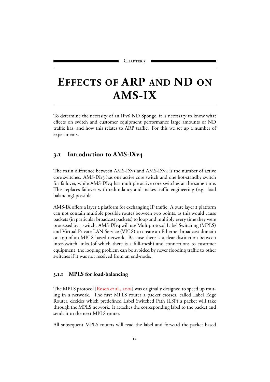# <span id="page-13-0"></span>**EFFECTS OF ARP AND ND ON AMS-IX**

To determine the necessity of an IPv6 ND Sponge, it is necessary to know what effects on switch and customer equipment performance large amounts of ND traffic has, and how this relates to ARP traffic. For this we set up a number of experiments.

## <span id="page-13-1"></span>**. Introduction to AMS-IXv**

The main difference between AMS-IXv3 and AMS-IXv4 is the number of active core switches. AMS-IXv3 has one active core switch and one hot-standby switch for failover, while AMS-IXv4 has multiple active core switches at the same time. This replaces failover with redundancy and makes traffic engineering (e.g. load balancing) possible.

AMS-IX offers a layer 2 platform for exchanging IP traffic. A pure layer 2 platform can not contain multiple possible routes between two points, as this would cause packets (in particular broadcast packets) to loop and multiply every time they were processed by a switch. AMS-IXv4 will use Multiprotocol Label Switching (MPLS) and Virtual Private LAN Service (VPLS) to create an Ethernet broadcast domain on top of an MPLS-based network. Because there is a clear distinction between inter-switch links (of which there is a full-mesh) and connections to customer equipment, the looping problem can be avoided by never flooding traffic to other switches if it was not received from an end-node.

#### <span id="page-13-2"></span>**.. MPLS for load-balancing**

The MPLS protocol [\[Rosen et al.,](#page-23-4) 2001] was originally designed to speed up routing in a network. The first MPLS router a packet crosses, called Label Edge Router, decides which predefined Label Switched Path (LSP) a packet will take through the MPLS network. It attaches the corresponding label to the packet and sends it to the next MPLS router.

All subsequent MPLS routers will read the label and forward the packet based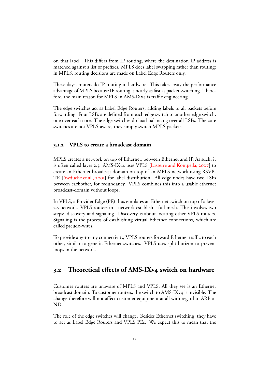on that label. This differs from IP routing, where the destination IP address is matched against a list of prefixes. MPLS does label swapping rather than routing: in MPLS, routing decisions are made on Label Edge Routers only.

These days, routers do IP routing in hardware. This takes away the performance advantage of MPLS because IP routing is nearly as fast as packet switching. Therefore, the main reason for MPLS in AMS-IXv4 is traffic engineering.

The edge switches act as Label Edge Routers, adding labels to all packets before forwarding. Four LSPs are defined from each edge switch to another edge switch, one over each core. The edge switches do load-balancing over all LSPs. The core switches are not VPLS-aware, they simply switch MPLS packets.

#### <span id="page-14-0"></span>**.. VPLS to create a broadcast domain**

MPLS creates a network on top of Ethernet, between Ethernet and IP. As such, it is often called layer 2.5. AMS-IXv4 uses VPLS [\[Lasserre and Kompella,](#page-23-5)  $2007$ ] to create an Ethernet broadcast domain on top of an MPLS network using RSVP-TE [\[Awduche et al.,](#page-23-6) 2001] for label distribution. All edge nodes have two LSPs between eachother, for redundancy. VPLS combines this into a usable ethernet broadcast-domain without loops.

In VPLS, a Provider Edge (PE) thus emulates an Ethernet switch on top of a layer . network. VPLS routers in a network establish a full mesh. This involves two steps: discovery and signaling. Discovery is about locating other VPLS routers. Signaling is the process of establishing virtual Ethernet connections, which are called pseudo-wires.

To provide any-to-any connectivity, VPLS routers forward Ethernet traffic to each other, similar to generic Ethernet switches. VPLS uses split-horizon to prevent loops in the network.

#### <span id="page-14-1"></span>**. Theoretical effects of AMS-IXv switch on hardware**

Customer routers are unaware of MPLS and VPLS. All they see is an Ethernet broadcast domain. To customer routers, the switch to AMS-IXv4 is invisible. The change therefore will not affect customer equipment at all with regard to ARP or ND.

The role of the edge switches will change. Besides Ethernet switching, they have to act as Label Edge Routers and VPLS PEs. We expect this to mean that the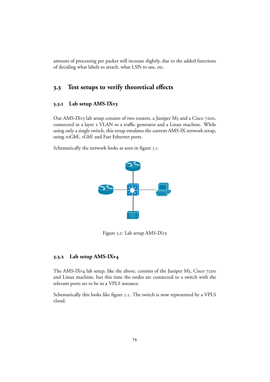amount of processing per packet will increase slightly, due to the added functions of deciding what labels to attach, what LSPs to use, etc.

## <span id="page-15-0"></span>**. Test setups to verify theoretical effects**

#### <span id="page-15-1"></span>**.. Lab setup AMS-IXv**

Our AMS-IXv3 lab setup consists of two routers, a Juniper M5 and a Cisco 7200, connected in a layer 2 VLAN to a traffic generator and a Linux machine. While using only a single switch, this setup emulates the current AMS-IX network setup, using 10GbE, 1GbE and Fast Ethernet ports.

Schematically the network looks as seen in figure 3.1.



<span id="page-15-3"></span>Figure 3.1: Lab setup AMS-IXv3

#### <span id="page-15-2"></span>**.. Lab setup AMS-IXv**

The AMS-IXv4 lab setup, like the above, consists of the Juniper M5, Cisco 7200 and Linux machine, but this time the nodes are connected to a switch with the relevant ports set to be in a VPLS instance.

Schematically this looks like figure 3.2. The switch is now represented by a VPLS cloud.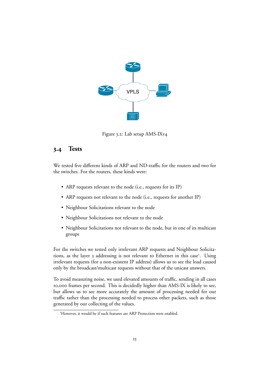

<span id="page-16-1"></span>Figure 3.2: Lab setup AMS-IXv4

## <span id="page-16-0"></span>**. Tests**

We tested five different kinds of ARP and ND-traffic for the routers and two for the switches. For the routers, these kinds were:

- ARP requests relevant to the node (i.e., requests for its IP)
- ARP requests not relevant to the node (i.e., requests for another IP)
- Neighbour Solicitations relevant to the node
- Neighbour Solicitations not relevant to the node
- Neighbour Solicitations not relevant to the node, but in one of its multicast groups

For the switches we tested only irrelevant ARP requests and Neighbour Solicitations, as the layer 3 addressing is not relevant to Ethernet in this case<sup>1</sup>. Using irrelevant requests (for a non-existent IP address) allows us to see the load caused only by the broadcast/multicast requests without that of the unicast answers.

To avoid measuring noise, we used elevated amounts of traffic, sending in all cases 10,000 frames per second. This is decidedly higher than AMS-IX is likely to see, but allows us to see more accurately the amount of processing needed for our traffic rather than the processing needed to process other packets, such as those generated by our collecting of the values.

<span id="page-16-2"></span>However, it would be if such features are ARP Protection were enabled.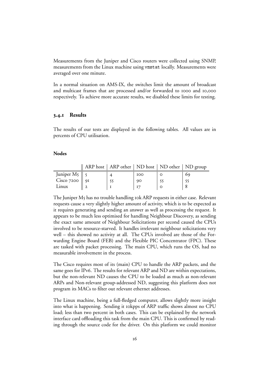Measurements from the Juniper and Cisco routers were collected using SNMP, measurements from the Linux machine using vmstat locally. Measurements were averaged over one minute.

In a normal situation on AMS-IX, the switches limit the amount of broadcast and multicast frames that are processed and/or forwarded to 1000 and 10,000 respectively. To achieve more accurate results, we disabled these limits for testing.

#### <span id="page-17-0"></span>**.. Results**

The results of our tests are displayed in the following tables. All values are in percents of CPU utilisation.

#### **Nodes**

|                                      | ARP host   ARP other   ND host   ND other   ND group |            |    |
|--------------------------------------|------------------------------------------------------|------------|----|
| Juniper M <sub>5</sub> $\parallel$ 5 |                                                      | <b>IOO</b> | 69 |
| Cisco 7200 $\parallel$ 91            |                                                      | 90         |    |
| Linux                                |                                                      |            |    |

The Juniper  $M_5$  has no trouble handling  $\kappa$  ARP requests in either case. Relevant requests cause a very slightly higher amount of activity, which is to be expected as it requires generating and sending an answer as well as processing the request. It appears to be much less optimised for handling Neighbour Discovery, as sending the exact same amount of Neighbour Solicitations per second caused the CPUs involved to be resource-starved. It handles irrelevant neighbour solicitations very well – this showed no activity at all. The CPUs involved are those of the Forwarding Engine Board (FEB) and the Flexible PIC Concentrator (FPC). These are tasked with packet processing. The main CPU, which runs the OS, had no measurable involvement in the process.

The Cisco requires most of its (main) CPU to handle the ARP packets, and the same goes for IPv6. The results for relevant ARP and ND are within expectations, but the non-relevant ND causes the CPU to be loaded as much as non-relevant ARPs and Non-relevant group-addressed ND, suggesting this platform does not program its MACs to filter out relevant ethernet addresses.

The Linux machine, being a full-fledged computer, allows slightly more insight into what is happening. Sending it tokpps of ARP traffic shows almost no CPU load; less than two percent in both cases. This can be explained by the network interface card offloading this task from the main CPU. This is confirmed by reading through the source code for the driver. On this platform we could monitor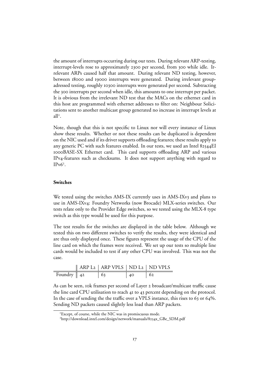the amount of interrupts occurring during our tests. During relevant ARP-testing, interrupt-levels rose to approximately 2300 per second, from 300 while idle. Irrelevant ARPs caused half that amount. During relevant ND testing, however, between 18000 and 19000 interrupts were generated. During irrelevant groupadressed testing, roughly 10300 interrupts were generated per second. Subtracting the 300 interrupts per second when idle, this amounts to one interrupt per packet. It is obvious from the irrelevant ND test that the MACs on the ethernet card in this host are programmed with ethernet addresses to filter on: Neighbour Solicitations sent to another multicast group generated no increase in interrupt levels at all .

Note, though that this is not specific to Linux nor will every instance of Linux show these results. Whether or not these results can be duplicated is dependent on the NIC used and if its driver supports offloading features; these results apply to any generic PC with such features enabled. In our tests, we used an Intel 82544EI BASE-SX Ethernet card. This card supports offloading ARP and various IPv4-features such as checksums. It does not support anything with regard to  $IPv\dot{6}^3$ .

#### **Switches**

We tested using the switches AMS-IX currently uses in AMS-IXv3 and plans to use in AMS-IXv4: Foundry Networks (now Brocade) MLX-series switches. Our tests relate only to the Provider Edge switches, so we tested using the MLX-8 type switch as this type would be used for this purpose.

The test results for the switches are displayed in the table below. Although we tested this on two different switches to verify the results, they were identical and are thus only displayed once. These figures represent the usage of the CPU of the line card on which the frames were received. We set up our tests so multiple line cards would be included to test if any other CPU was involved. This was not the case.

|                        | $\parallel$ ARP L <sub>2</sub> $\parallel$ ARP VPLS $\parallel$ ND L <sub>2</sub> $\parallel$ ND VPLS |  |
|------------------------|-------------------------------------------------------------------------------------------------------|--|
| Foundry $\parallel$ 42 |                                                                                                       |  |

As can be seen, tok frames per second of Layer 2 broadcast/multicast traffic cause the line card CPU utilisation to reach 41 to 43 percent depending on the protocol. In the case of sending the the traffic over a VPLS instance, this rises to 63 or 64%. Sending ND packets caused slightly less load than ARP packets.

<span id="page-18-0"></span>Except, of course, while the NIC was in promiscuous mode.

<span id="page-18-1"></span><sup>&</sup>lt;sup>3</sup>http://download.intel.com/design/network/manuals/8254x\_GBe\_SDM.pdf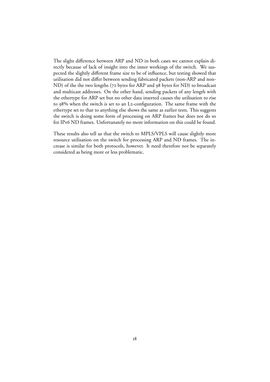The slight difference between ARP and ND in both cases we cannot explain directly because of lack of insight into the inner workings of the switch. We suspected the slightly different frame size to be of influence, but testing showed that utilisation did not differ between sending fabricated packets (non-ARP and non-ND) of the the two lengths (72 bytes for ARP and 98 bytes for ND) to broadcast and multicast addresses. On the other hand, sending packets of any length with the ethertype for ARP set but no other data inserted causes the utilisation to rise to  $98\%$  when the switch is set to an L2-configuration. The same frame with the ethertype set to that to anything else shows the same as earlier tests. This suggests the switch is doing some form of processing on ARP frames but does not do so for IPv6 ND frames. Unfortunately no more information on this could be found.

These results also tell us that the switch to MPLS/VPLS will cause slightly more resource utilisation on the switch for processing ARP and ND frames. The increase is similar for both protocols, however. It need therefore not be separately considered as being more or less problematic.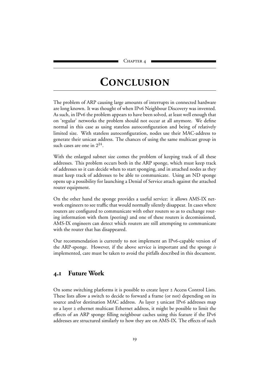## **CONCLUSION**

<span id="page-20-0"></span>The problem of ARP causing large amounts of interrupts in connected hardware are long known. It was thought of when IPv6 Neighbour Discovery was invented. As such, in IPv6 the problem appears to have been solved, at least well enough that on 'regular' networks the problem should not occur at all anymore. We define normal in this case as using stateless autoconfiguration and being of relatively limited size. With stateless autoconfiguration, nodes use their MAC-address to generate their unicast address. The chances of using the same multicast group in such cases are one in  $2^{24}$ .

With the enlarged subnet size comes the problem of keeping track of all these addresses. This problem occurs both in the ARP sponge, which must keep track of addresses so it can decide when to start sponging, and in attached nodes as they must keep track of addresses to be able to communicate. Using an ND sponge opens up a possibility for launching a Denial of Service attach against the attached router equipment.

On the other hand the sponge provides a useful service: it allows AMS-IX network engineers to see traffic that would normally silently disappear. In cases where routers are configured to communicate with other routers so as to exchange routing information with them (peering) and one of these routers is decomissioned, AMS-IX engineers can detect which routers are still attempting to communicate with the router that has disappeared.

Our recommendation is currently to not implement an IPv6-capable version of the ARP-sponge. However, if the above service is important and the sponge *is* implemented, care must be taken to avoid the pitfalls described in this document.

## <span id="page-20-1"></span>**. Future Work**

On some switching platforms it is possible to create layer 2 Access Control Lists. These lists allow a switch to decide to forward a frame (or not) depending on its source and/or destination MAC address. As layer 3 unicast IPv6 addresses map to a layer 2 ethernet multicast Ethernet address, it might be possible to limit the effects of an ARP sponge filling neighbour caches using this feature if the IPv addresses are structured similarly to how they are on AMS-IX. The effects of such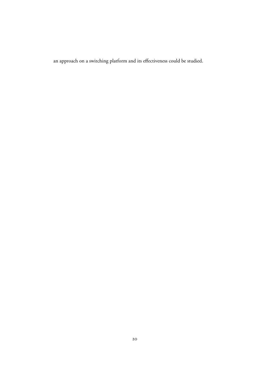an approach on a switching platform and its effectiveness could be studied.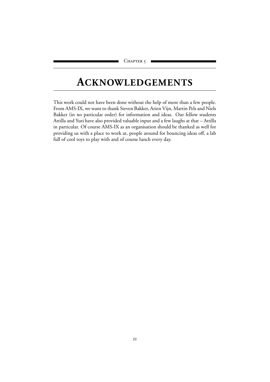## <span id="page-22-0"></span>**ACKNOWLEDGEMENTS**

This work could not have been done without the help of more than a few people. From AMS-IX, we want to thank Steven Bakker, Arien Vijn, Martin Pels and Niels Bakker (in no particular order) for information and ideas. Our fellow students Attilla and Yuri have also provided valuable input and a few laughs at that – Attilla in particular. Of course AMS-IX as an organisation should be thanked as well for providing us with a place to work at, people around for bouncing ideas off, a lab full of cool toys to play with and of course lunch every day.